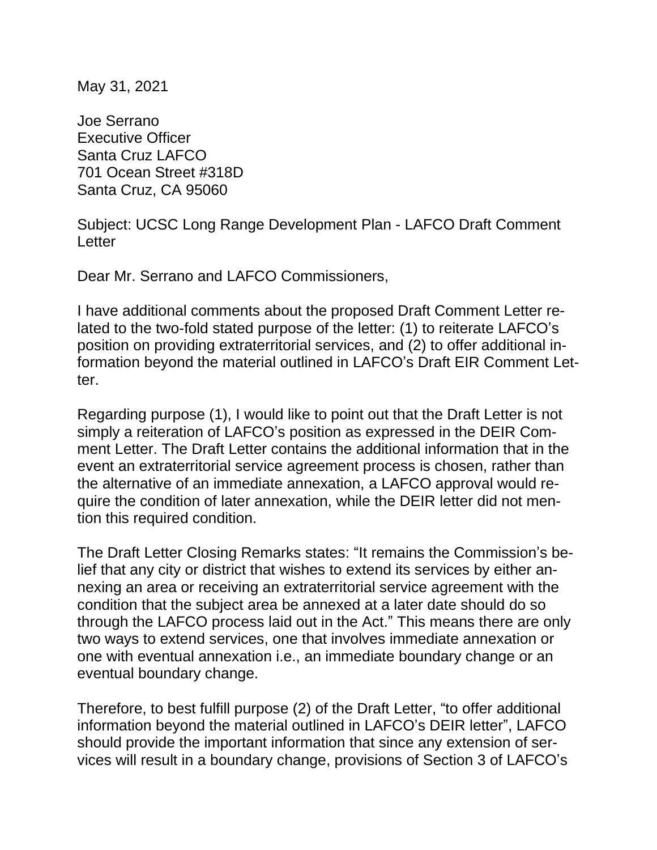May 31, 2021

Joe Serrano Executive Officer Santa Cruz LAFCO 701 Ocean Street #318D Santa Cruz, CA 95060

Subject: UCSC Long Range Development Plan - LAFCO Draft Comment Letter

Dear Mr. Serrano and LAFCO Commissioners,

I have additional comments about the proposed Draft Comment Letter related to the two-fold stated purpose of the letter: (1) to reiterate LAFCO's position on providing extraterritorial services, and (2) to offer additional information beyond the material outlined in LAFCO's Draft EIR Comment Letter.

Regarding purpose (1), I would like to point out that the Draft Letter is not simply a reiteration of LAFCO's position as expressed in the DEIR Comment Letter. The Draft Letter contains the additional information that in the event an extraterritorial service agreement process is chosen, rather than the alternative of an immediate annexation, a LAFCO approval would require the condition of later annexation, while the DEIR letter did not mention this required condition.

The Draft Letter Closing Remarks states: "It remains the Commission's belief that any city or district that wishes to extend its services by either annexing an area or receiving an extraterritorial service agreement with the condition that the subject area be annexed at a later date should do so through the LAFCO process laid out in the Act." This means there are only two ways to extend services, one that involves immediate annexation or one with eventual annexation i.e., an immediate boundary change or an eventual boundary change.

Therefore, to best fulfill purpose (2) of the Draft Letter, "to offer additional information beyond the material outlined in LAFCO's DEIR letter", LAFCO should provide the important information that since any extension of services will result in a boundary change, provisions of Section 3 of LAFCO's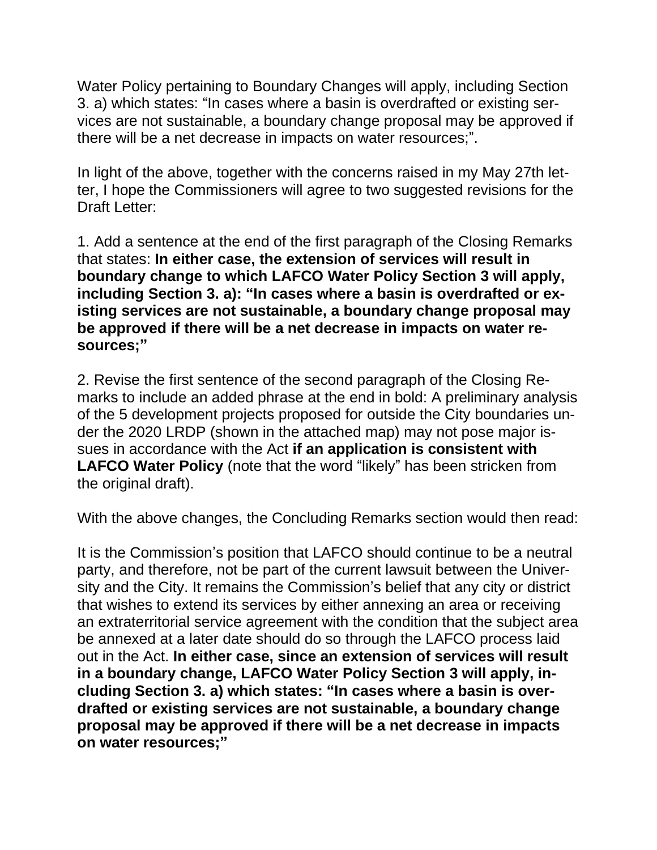Water Policy pertaining to Boundary Changes will apply, including Section 3. a) which states: "In cases where a basin is overdrafted or existing services are not sustainable, a boundary change proposal may be approved if there will be a net decrease in impacts on water resources;".

In light of the above, together with the concerns raised in my May 27th letter, I hope the Commissioners will agree to two suggested revisions for the Draft Letter:

1. Add a sentence at the end of the first paragraph of the Closing Remarks that states: **In either case, the extension of services will result in boundary change to which LAFCO Water Policy Section 3 will apply, including Section 3. a): "In cases where a basin is overdrafted or existing services are not sustainable, a boundary change proposal may be approved if there will be a net decrease in impacts on water resources;"**

2. Revise the first sentence of the second paragraph of the Closing Remarks to include an added phrase at the end in bold: A preliminary analysis of the 5 development projects proposed for outside the City boundaries under the 2020 LRDP (shown in the attached map) may not pose major issues in accordance with the Act **if an application is consistent with LAFCO Water Policy** (note that the word "likely" has been stricken from the original draft).

With the above changes, the Concluding Remarks section would then read:

It is the Commission's position that LAFCO should continue to be a neutral party, and therefore, not be part of the current lawsuit between the University and the City. It remains the Commission's belief that any city or district that wishes to extend its services by either annexing an area or receiving an extraterritorial service agreement with the condition that the subject area be annexed at a later date should do so through the LAFCO process laid out in the Act. **In either case, since an extension of services will result in a boundary change, LAFCO Water Policy Section 3 will apply, including Section 3. a) which states: "In cases where a basin is overdrafted or existing services are not sustainable, a boundary change proposal may be approved if there will be a net decrease in impacts on water resources;"**